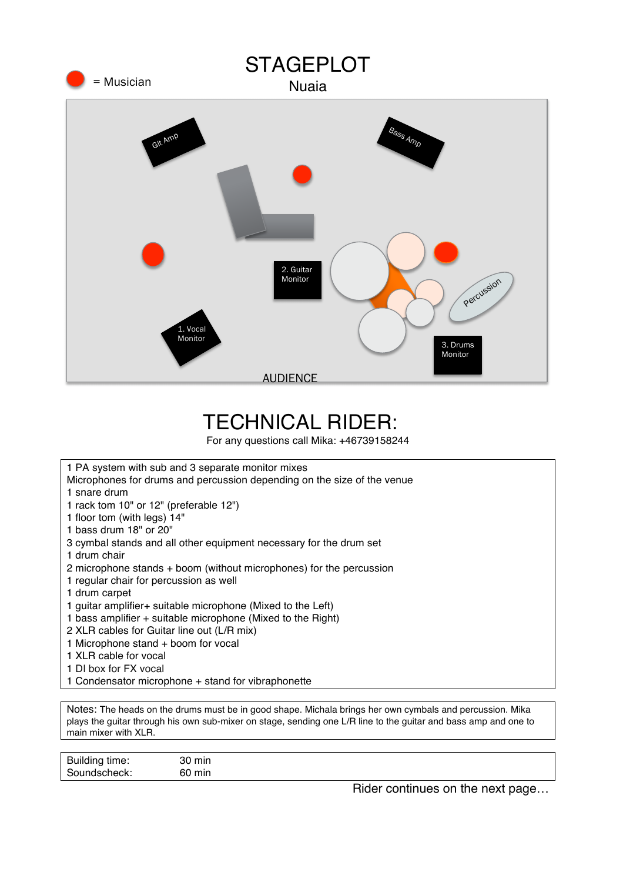

## TECHNICAL RIDER:

For any questions call Mika: +46739158244

| 1 PA system with sub and 3 separate monitor mixes                       |
|-------------------------------------------------------------------------|
| Microphones for drums and percussion depending on the size of the venue |
| 1 snare drum                                                            |
| 1 rack tom 10" or 12" (preferable 12")                                  |
| 1 floor tom (with legs) 14"                                             |
| 1 bass drum 18" or 20"                                                  |
| 3 cymbal stands and all other equipment necessary for the drum set      |
| 1 drum chair                                                            |
| 2 microphone stands + boom (without microphones) for the percussion     |
| 1 regular chair for percussion as well                                  |
| 1 drum carpet                                                           |
| 1 guitar amplifier + suitable microphone (Mixed to the Left)            |
| 1 bass amplifier + suitable microphone (Mixed to the Right)             |
| 2 XLR cables for Guitar line out (L/R mix)                              |
| 1 Microphone stand + boom for vocal                                     |
| 1 XLR cable for vocal                                                   |
| 1 DI box for FX vocal                                                   |
| 1 Condensator microphone + stand for vibraphonette                      |

Notes: The heads on the drums must be in good shape. Michala brings her own cymbals and percussion. Mika plays the guitar through his own sub-mixer on stage, sending one L/R line to the guitar and bass amp and one to main mixer with XLR.

| Building time: | 30<br>min |     |      |  |
|----------------|-----------|-----|------|--|
| Soundscheck:   | 60<br>min |     |      |  |
|                |           | ___ | ____ |  |

Rider continues on the next page…